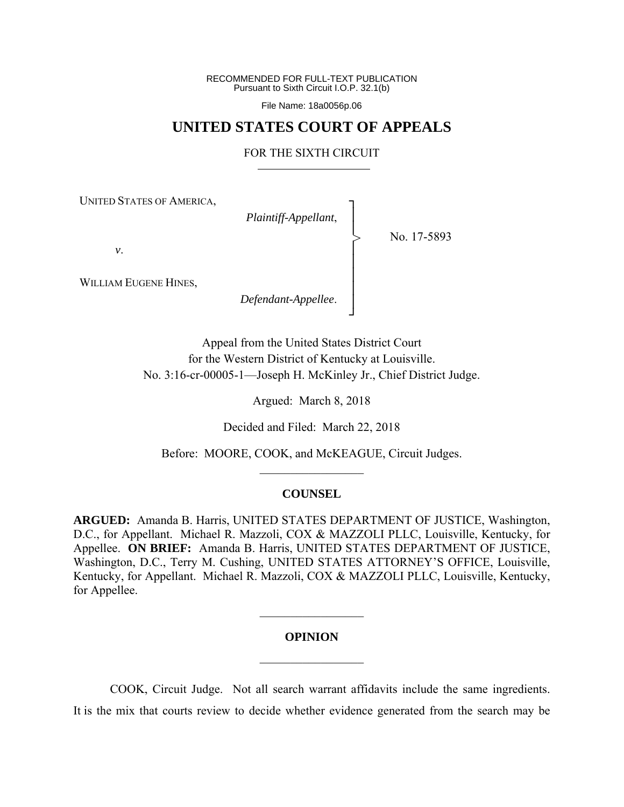RECOMMENDED FOR FULL-TEXT PUBLICATION Pursuant to Sixth Circuit I.O.P. 32.1(b)

File Name: 18a0056p.06

# **UNITED STATES COURT OF APPEALS**

# FOR THE SIXTH CIRCUIT

┐ │ │ │ │ │ │ │ ┘

>

UNITED STATES OF AMERICA,

*Plaintiff-Appellant*,

No. 17-5893

 *v*.

WILLIAM EUGENE HINES,

*Defendant-Appellee*.

Appeal from the United States District Court for the Western District of Kentucky at Louisville. No. 3:16-cr-00005-1—Joseph H. McKinley Jr., Chief District Judge.

Argued: March 8, 2018

Decided and Filed: March 22, 2018

Before: MOORE, COOK, and McKEAGUE, Circuit Judges.  $\frac{1}{2}$  ,  $\frac{1}{2}$  ,  $\frac{1}{2}$  ,  $\frac{1}{2}$  ,  $\frac{1}{2}$  ,  $\frac{1}{2}$  ,  $\frac{1}{2}$  ,  $\frac{1}{2}$  ,  $\frac{1}{2}$ 

# **COUNSEL**

**ARGUED:** Amanda B. Harris, UNITED STATES DEPARTMENT OF JUSTICE, Washington, D.C., for Appellant. Michael R. Mazzoli, COX & MAZZOLI PLLC, Louisville, Kentucky, for Appellee. **ON BRIEF:** Amanda B. Harris, UNITED STATES DEPARTMENT OF JUSTICE, Washington, D.C., Terry M. Cushing, UNITED STATES ATTORNEY'S OFFICE, Louisville, Kentucky, for Appellant. Michael R. Mazzoli, COX & MAZZOLI PLLC, Louisville, Kentucky, for Appellee.

# **OPINION**   $\frac{1}{2}$

 $\frac{1}{2}$ 

 COOK, Circuit Judge. Not all search warrant affidavits include the same ingredients. It is the mix that courts review to decide whether evidence generated from the search may be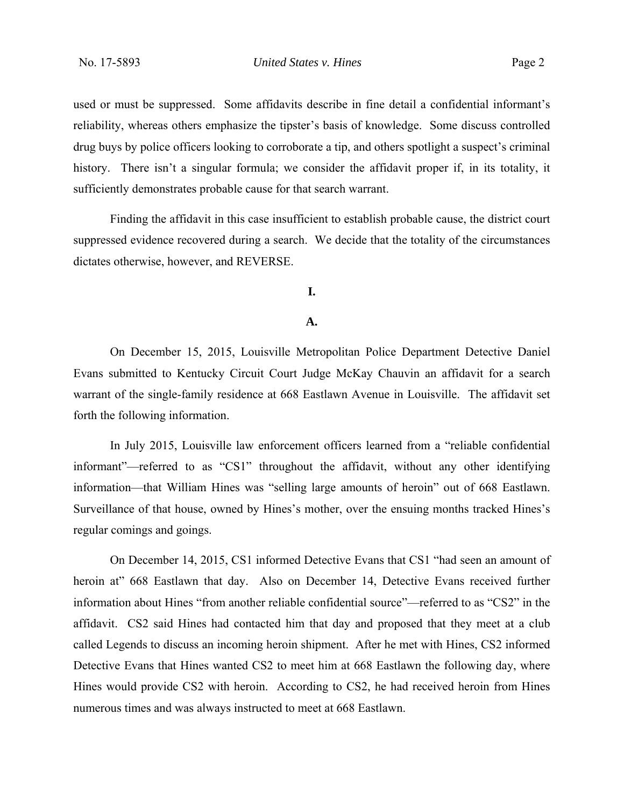used or must be suppressed. Some affidavits describe in fine detail a confidential informant's reliability, whereas others emphasize the tipster's basis of knowledge. Some discuss controlled drug buys by police officers looking to corroborate a tip, and others spotlight a suspect's criminal history. There isn't a singular formula; we consider the affidavit proper if, in its totality, it sufficiently demonstrates probable cause for that search warrant.

 Finding the affidavit in this case insufficient to establish probable cause, the district court suppressed evidence recovered during a search. We decide that the totality of the circumstances dictates otherwise, however, and REVERSE.

**I.** 

### **A.**

 On December 15, 2015, Louisville Metropolitan Police Department Detective Daniel Evans submitted to Kentucky Circuit Court Judge McKay Chauvin an affidavit for a search warrant of the single-family residence at 668 Eastlawn Avenue in Louisville. The affidavit set forth the following information.

 In July 2015, Louisville law enforcement officers learned from a "reliable confidential informant"—referred to as "CS1" throughout the affidavit, without any other identifying information—that William Hines was "selling large amounts of heroin" out of 668 Eastlawn. Surveillance of that house, owned by Hines's mother, over the ensuing months tracked Hines's regular comings and goings.

 On December 14, 2015, CS1 informed Detective Evans that CS1 "had seen an amount of heroin at" 668 Eastlawn that day. Also on December 14, Detective Evans received further information about Hines "from another reliable confidential source"—referred to as "CS2" in the affidavit. CS2 said Hines had contacted him that day and proposed that they meet at a club called Legends to discuss an incoming heroin shipment. After he met with Hines, CS2 informed Detective Evans that Hines wanted CS2 to meet him at 668 Eastlawn the following day, where Hines would provide CS2 with heroin. According to CS2, he had received heroin from Hines numerous times and was always instructed to meet at 668 Eastlawn.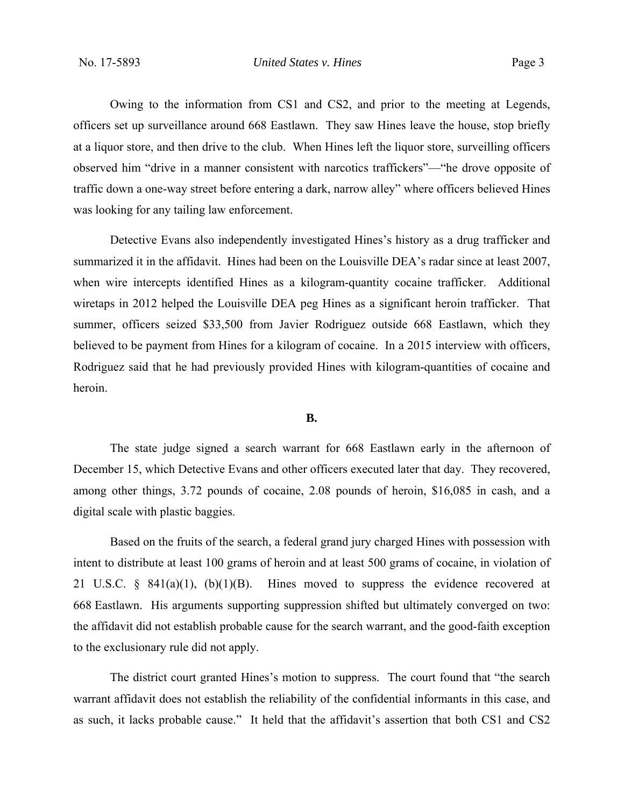Owing to the information from CS1 and CS2, and prior to the meeting at Legends, officers set up surveillance around 668 Eastlawn. They saw Hines leave the house, stop briefly at a liquor store, and then drive to the club. When Hines left the liquor store, surveilling officers observed him "drive in a manner consistent with narcotics traffickers"—"he drove opposite of traffic down a one-way street before entering a dark, narrow alley" where officers believed Hines was looking for any tailing law enforcement.

 Detective Evans also independently investigated Hines's history as a drug trafficker and summarized it in the affidavit. Hines had been on the Louisville DEA's radar since at least 2007, when wire intercepts identified Hines as a kilogram-quantity cocaine trafficker. Additional wiretaps in 2012 helped the Louisville DEA peg Hines as a significant heroin trafficker. That summer, officers seized \$33,500 from Javier Rodriguez outside 668 Eastlawn, which they believed to be payment from Hines for a kilogram of cocaine. In a 2015 interview with officers, Rodriguez said that he had previously provided Hines with kilogram-quantities of cocaine and heroin.

#### **B.**

 The state judge signed a search warrant for 668 Eastlawn early in the afternoon of December 15, which Detective Evans and other officers executed later that day. They recovered, among other things, 3.72 pounds of cocaine, 2.08 pounds of heroin, \$16,085 in cash, and a digital scale with plastic baggies.

Based on the fruits of the search, a federal grand jury charged Hines with possession with intent to distribute at least 100 grams of heroin and at least 500 grams of cocaine, in violation of 21 U.S.C.  $\&$  841(a)(1), (b)(1)(B). Hines moved to suppress the evidence recovered at 668 Eastlawn. His arguments supporting suppression shifted but ultimately converged on two: the affidavit did not establish probable cause for the search warrant, and the good-faith exception to the exclusionary rule did not apply.

The district court granted Hines's motion to suppress. The court found that "the search warrant affidavit does not establish the reliability of the confidential informants in this case, and as such, it lacks probable cause." It held that the affidavit's assertion that both CS1 and CS2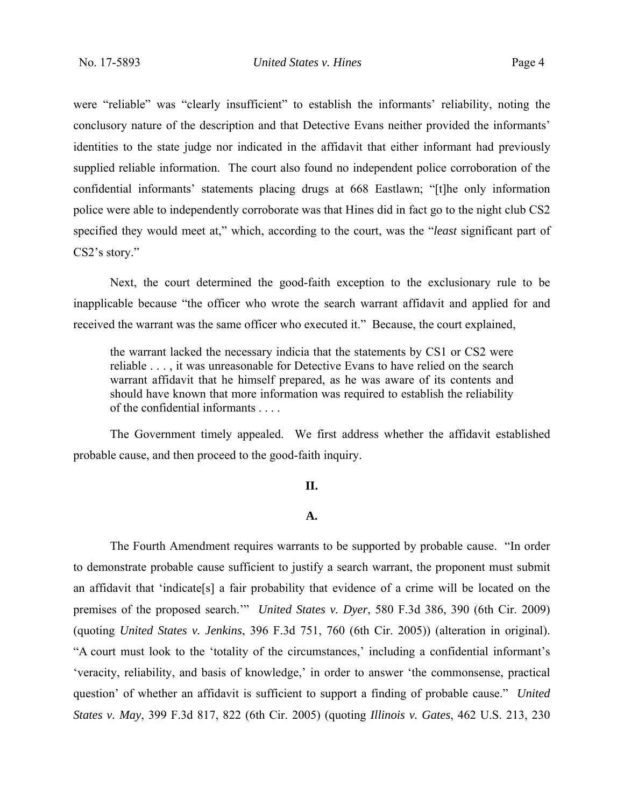were "reliable" was "clearly insufficient" to establish the informants' reliability, noting the conclusory nature of the description and that Detective Evans neither provided the informants' identities to the state judge nor indicated in the affidavit that either informant had previously supplied reliable information. The court also found no independent police corroboration of the confidential informants' statements placing drugs at 668 Eastlawn; "[t]he only information police were able to independently corroborate was that Hines did in fact go to the night club CS2 specified they would meet at," which, according to the court, was the "*least* significant part of CS2's story."

 Next, the court determined the good-faith exception to the exclusionary rule to be inapplicable because "the officer who wrote the search warrant affidavit and applied for and received the warrant was the same officer who executed it."Because, the court explained,

the warrant lacked the necessary indicia that the statements by CS1 or CS2 were reliable . . . , it was unreasonable for Detective Evans to have relied on the search warrant affidavit that he himself prepared, as he was aware of its contents and should have known that more information was required to establish the reliability of the confidential informants . . . .

 The Government timely appealed. We first address whether the affidavit established probable cause, and then proceed to the good-faith inquiry.

#### **II.**

# **A.**

 The Fourth Amendment requires warrants to be supported by probable cause. "In order to demonstrate probable cause sufficient to justify a search warrant, the proponent must submit an affidavit that 'indicate[s] a fair probability that evidence of a crime will be located on the premises of the proposed search.'" *United States v. Dyer*, 580 F.3d 386, 390 (6th Cir. 2009) (quoting *United States v. Jenkins*, 396 F.3d 751, 760 (6th Cir. 2005)) (alteration in original). "A court must look to the 'totality of the circumstances,' including a confidential informant's 'veracity, reliability, and basis of knowledge,' in order to answer 'the commonsense, practical question' of whether an affidavit is sufficient to support a finding of probable cause." *United States v. May*, 399 F.3d 817, 822 (6th Cir. 2005) (quoting *Illinois v. Gates*, 462 U.S. 213, 230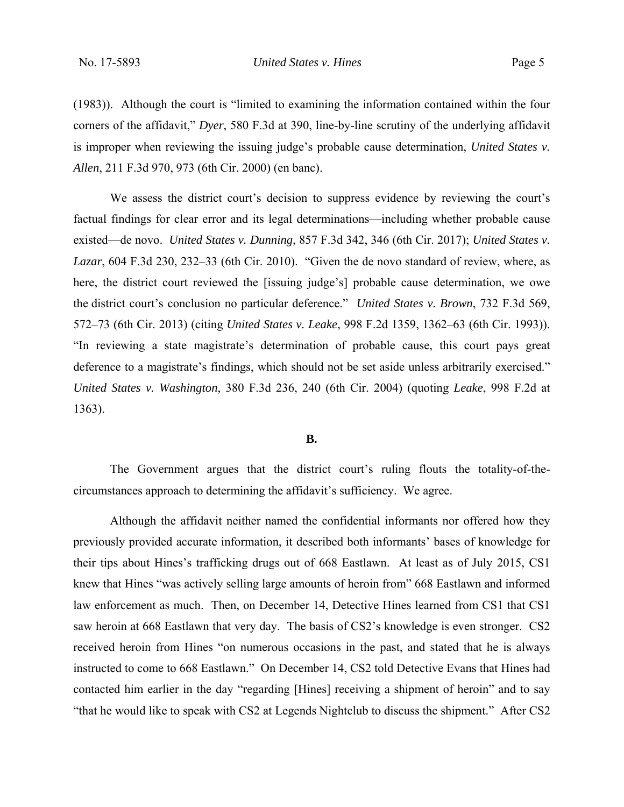(1983)). Although the court is "limited to examining the information contained within the four corners of the affidavit," *Dyer*, 580 F.3d at 390, line-by-line scrutiny of the underlying affidavit is improper when reviewing the issuing judge's probable cause determination, *United States v. Allen*, 211 F.3d 970, 973 (6th Cir. 2000) (en banc).

 We assess the district court's decision to suppress evidence by reviewing the court's factual findings for clear error and its legal determinations—including whether probable cause existed—de novo. *United States v. Dunning*, 857 F.3d 342, 346 (6th Cir. 2017); *United States v. Lazar*, 604 F.3d 230, 232–33 (6th Cir. 2010). "Given the de novo standard of review, where, as here, the district court reviewed the [issuing judge's] probable cause determination, we owe the district court's conclusion no particular deference." *United States v. Brown*, 732 F.3d 569, 572–73 (6th Cir. 2013) (citing *United States v. Leake*, 998 F.2d 1359, 1362–63 (6th Cir. 1993)). "In reviewing a state magistrate's determination of probable cause, this court pays great deference to a magistrate's findings, which should not be set aside unless arbitrarily exercised." *United States v. Washington*, 380 F.3d 236, 240 (6th Cir. 2004) (quoting *Leake*, 998 F.2d at 1363).

# **B.**

 The Government argues that the district court's ruling flouts the totality-of-thecircumstances approach to determining the affidavit's sufficiency.We agree.

Although the affidavit neither named the confidential informants nor offered how they previously provided accurate information, it described both informants' bases of knowledge for their tips about Hines's trafficking drugs out of 668 Eastlawn. At least as of July 2015, CS1 knew that Hines "was actively selling large amounts of heroin from" 668 Eastlawn and informed law enforcement as much. Then, on December 14, Detective Hines learned from CS1 that CS1 saw heroin at 668 Eastlawn that very day. The basis of CS2's knowledge is even stronger. CS2 received heroin from Hines "on numerous occasions in the past, and stated that he is always instructed to come to 668 Eastlawn." On December 14, CS2 told Detective Evans that Hines had contacted him earlier in the day "regarding [Hines] receiving a shipment of heroin" and to say "that he would like to speak with CS2 at Legends Nightclub to discuss the shipment." After CS2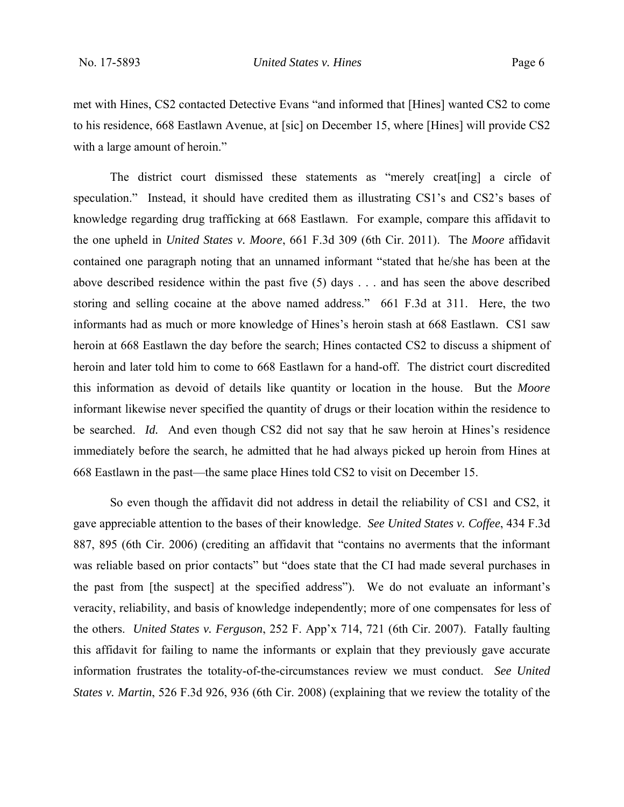met with Hines, CS2 contacted Detective Evans "and informed that [Hines] wanted CS2 to come to his residence, 668 Eastlawn Avenue, at [sic] on December 15, where [Hines] will provide CS2 with a large amount of heroin."

The district court dismissed these statements as "merely creat[ing] a circle of speculation."Instead, it should have credited them as illustrating CS1's and CS2's bases of knowledge regarding drug trafficking at 668 Eastlawn. For example, compare this affidavit to the one upheld in *United States v. Moore*, 661 F.3d 309 (6th Cir. 2011). The *Moore* affidavit contained one paragraph noting that an unnamed informant "stated that he/she has been at the above described residence within the past five (5) days . . . and has seen the above described storing and selling cocaine at the above named address." 661 F.3d at 311. Here, the two informants had as much or more knowledge of Hines's heroin stash at 668 Eastlawn. CS1 saw heroin at 668 Eastlawn the day before the search; Hines contacted CS2 to discuss a shipment of heroin and later told him to come to 668 Eastlawn for a hand-off. The district court discredited this information as devoid of details like quantity or location in the house. But the *Moore* informant likewise never specified the quantity of drugs or their location within the residence to be searched. *Id.* And even though CS2 did not say that he saw heroin at Hines's residence immediately before the search, he admitted that he had always picked up heroin from Hines at 668 Eastlawn in the past—the same place Hines told CS2 to visit on December 15.

So even though the affidavit did not address in detail the reliability of CS1 and CS2, it gave appreciable attention to the bases of their knowledge. *See United States v. Coffee*, 434 F.3d 887, 895 (6th Cir. 2006) (crediting an affidavit that "contains no averments that the informant was reliable based on prior contacts" but "does state that the CI had made several purchases in the past from [the suspect] at the specified address"). We do not evaluate an informant's veracity, reliability, and basis of knowledge independently; more of one compensates for less of the others. *United States v. Ferguson*, 252 F. App'x 714, 721 (6th Cir. 2007). Fatally faulting this affidavit for failing to name the informants or explain that they previously gave accurate information frustrates the totality-of-the-circumstances review we must conduct. *See United States v. Martin*, 526 F.3d 926, 936 (6th Cir. 2008) (explaining that we review the totality of the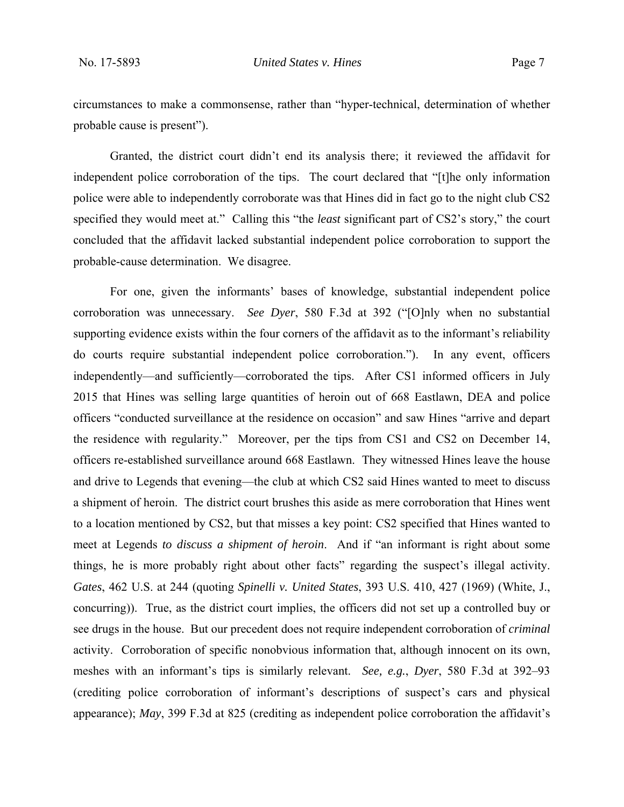circumstances to make a commonsense, rather than "hyper-technical, determination of whether probable cause is present").

 Granted, the district court didn't end its analysis there; it reviewed the affidavit for independent police corroboration of the tips. The court declared that "[t]he only information police were able to independently corroborate was that Hines did in fact go to the night club CS2 specified they would meet at." Calling this "the *least* significant part of CS2's story," the court concluded that the affidavit lacked substantial independent police corroboration to support the probable-cause determination. We disagree.

 For one, given the informants' bases of knowledge, substantial independent police corroboration was unnecessary. *See Dyer*, 580 F.3d at 392 ("[O]nly when no substantial supporting evidence exists within the four corners of the affidavit as to the informant's reliability do courts require substantial independent police corroboration."). In any event, officers independently—and sufficiently—corroborated the tips. After CS1 informed officers in July 2015 that Hines was selling large quantities of heroin out of 668 Eastlawn, DEA and police officers "conducted surveillance at the residence on occasion" and saw Hines "arrive and depart the residence with regularity." Moreover, per the tips from CS1 and CS2 on December 14, officers re-established surveillance around 668 Eastlawn. They witnessed Hines leave the house and drive to Legends that evening—the club at which CS2 said Hines wanted to meet to discuss a shipment of heroin. The district court brushes this aside as mere corroboration that Hines went to a location mentioned by CS2, but that misses a key point: CS2 specified that Hines wanted to meet at Legends *to discuss a shipment of heroin*. And if "an informant is right about some things, he is more probably right about other facts" regarding the suspect's illegal activity. *Gates*, 462 U.S. at 244 (quoting *Spinelli v. United States*, 393 U.S. 410, 427 (1969) (White, J., concurring)). True, as the district court implies, the officers did not set up a controlled buy or see drugs in the house. But our precedent does not require independent corroboration of *criminal* activity. Corroboration of specific nonobvious information that, although innocent on its own, meshes with an informant's tips is similarly relevant. *See, e.g.*, *Dyer*, 580 F.3d at 392–93 (crediting police corroboration of informant's descriptions of suspect's cars and physical appearance); *May*, 399 F.3d at 825 (crediting as independent police corroboration the affidavit's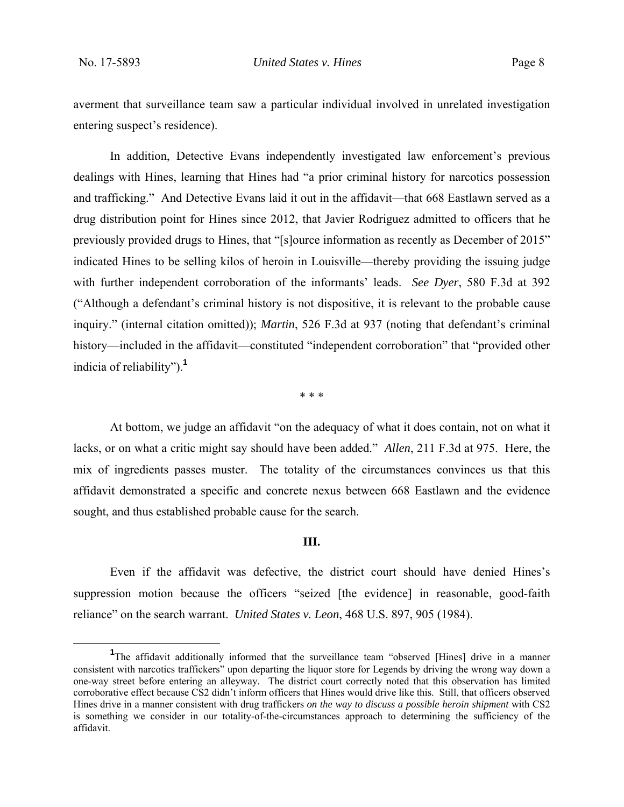averment that surveillance team saw a particular individual involved in unrelated investigation entering suspect's residence).

 In addition, Detective Evans independently investigated law enforcement's previous dealings with Hines, learning that Hines had "a prior criminal history for narcotics possession and trafficking." And Detective Evans laid it out in the affidavit—that 668 Eastlawn served as a drug distribution point for Hines since 2012, that Javier Rodriguez admitted to officers that he previously provided drugs to Hines, that "[s]ource information as recently as December of 2015" indicated Hines to be selling kilos of heroin in Louisville—thereby providing the issuing judge with further independent corroboration of the informants' leads. *See Dyer*, 580 F.3d at 392 ("Although a defendant's criminal history is not dispositive, it is relevant to the probable cause inquiry." (internal citation omitted)); *Martin*, 526 F.3d at 937 (noting that defendant's criminal history—included in the affidavit—constituted "independent corroboration" that "provided other indicia of reliability").**<sup>1</sup>**

\* \* \*

 At bottom, we judge an affidavit "on the adequacy of what it does contain, not on what it lacks, or on what a critic might say should have been added." *Allen*, 211 F.3d at 975. Here, the mix of ingredients passes muster. The totality of the circumstances convinces us that this affidavit demonstrated a specific and concrete nexus between 668 Eastlawn and the evidence sought, and thus established probable cause for the search.

#### **III.**

 Even if the affidavit was defective, the district court should have denied Hines's suppression motion because the officers "seized [the evidence] in reasonable, good-faith reliance" on the search warrant. *United States v. Leon*, 468 U.S. 897, 905 (1984).

<sup>&</sup>lt;u>1</u> <sup>1</sup>The affidavit additionally informed that the surveillance team "observed [Hines] drive in a manner consistent with narcotics traffickers" upon departing the liquor store for Legends by driving the wrong way down a one-way street before entering an alleyway. The district court correctly noted that this observation has limited corroborative effect because CS2 didn't inform officers that Hines would drive like this. Still, that officers observed Hines drive in a manner consistent with drug traffickers *on the way to discuss a possible heroin shipment* with CS2 is something we consider in our totality-of-the-circumstances approach to determining the sufficiency of the affidavit.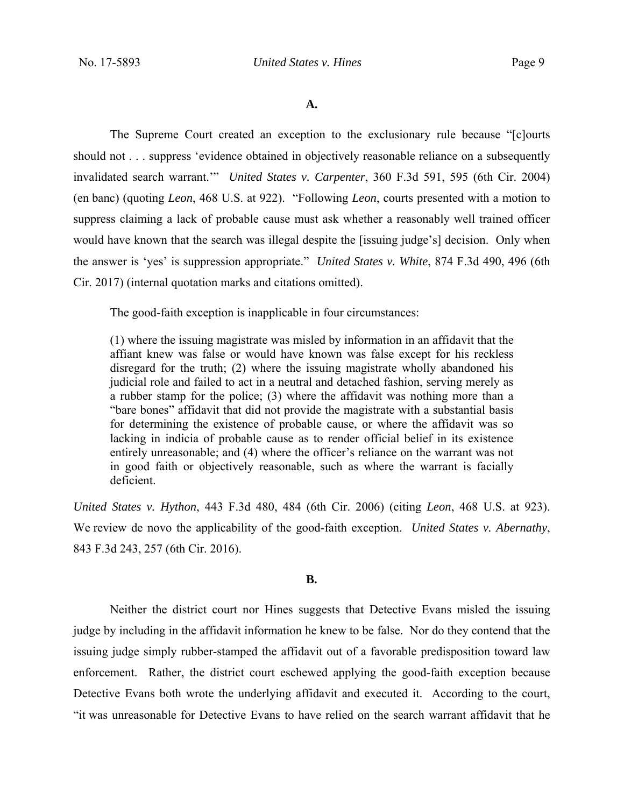The Supreme Court created an exception to the exclusionary rule because "[c]ourts should not . . . suppress 'evidence obtained in objectively reasonable reliance on a subsequently invalidated search warrant.'" *United States v. Carpenter*, 360 F.3d 591, 595 (6th Cir. 2004) (en banc) (quoting *Leon*, 468 U.S. at 922). "Following *Leon*, courts presented with a motion to suppress claiming a lack of probable cause must ask whether a reasonably well trained officer would have known that the search was illegal despite the [issuing judge's] decision. Only when the answer is 'yes' is suppression appropriate." *United States v. White*, 874 F.3d 490, 496 (6th Cir. 2017) (internal quotation marks and citations omitted).

The good-faith exception is inapplicable in four circumstances:

(1) where the issuing magistrate was misled by information in an affidavit that the affiant knew was false or would have known was false except for his reckless disregard for the truth; (2) where the issuing magistrate wholly abandoned his judicial role and failed to act in a neutral and detached fashion, serving merely as a rubber stamp for the police; (3) where the affidavit was nothing more than a "bare bones" affidavit that did not provide the magistrate with a substantial basis for determining the existence of probable cause, or where the affidavit was so lacking in indicia of probable cause as to render official belief in its existence entirely unreasonable; and (4) where the officer's reliance on the warrant was not in good faith or objectively reasonable, such as where the warrant is facially deficient.

*United States v. Hython*, 443 F.3d 480, 484 (6th Cir. 2006) (citing *Leon*, 468 U.S. at 923). We review de novo the applicability of the good-faith exception. *United States v. Abernathy*, 843 F.3d 243, 257 (6th Cir. 2016).

# **B.**

Neither the district court nor Hines suggests that Detective Evans misled the issuing judge by including in the affidavit information he knew to be false. Nor do they contend that the issuing judge simply rubber-stamped the affidavit out of a favorable predisposition toward law enforcement. Rather, the district court eschewed applying the good-faith exception because Detective Evans both wrote the underlying affidavit and executed it. According to the court, "it was unreasonable for Detective Evans to have relied on the search warrant affidavit that he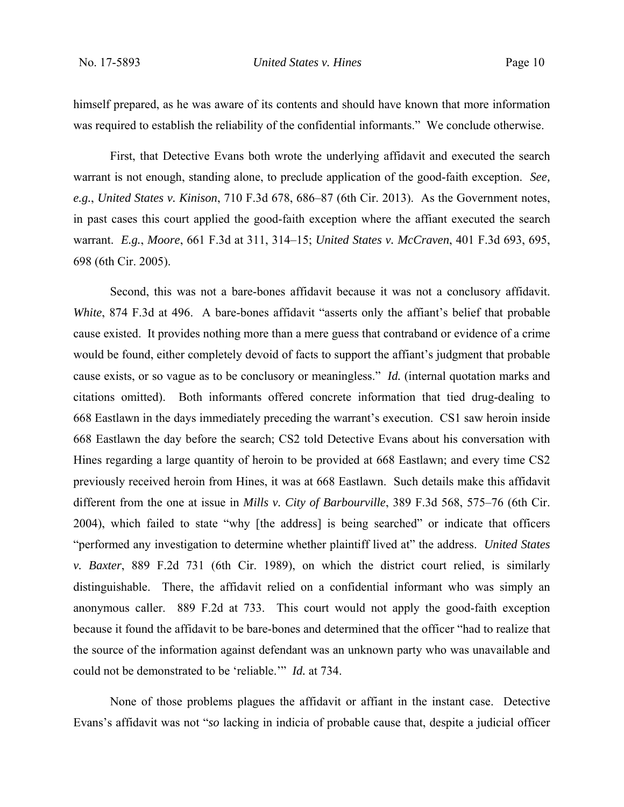himself prepared, as he was aware of its contents and should have known that more information was required to establish the reliability of the confidential informants." We conclude otherwise.

 First, that Detective Evans both wrote the underlying affidavit and executed the search warrant is not enough, standing alone, to preclude application of the good-faith exception. *See, e.g.*, *United States v. Kinison*, 710 F.3d 678, 686–87 (6th Cir. 2013). As the Government notes, in past cases this court applied the good-faith exception where the affiant executed the search warrant. *E.g.*, *Moore*, 661 F.3d at 311, 314–15; *United States v. McCraven*, 401 F.3d 693, 695, 698 (6th Cir. 2005).

 Second, this was not a bare-bones affidavit because it was not a conclusory affidavit. *White*, 874 F.3d at 496. A bare-bones affidavit "asserts only the affiant's belief that probable cause existed. It provides nothing more than a mere guess that contraband or evidence of a crime would be found, either completely devoid of facts to support the affiant's judgment that probable cause exists, or so vague as to be conclusory or meaningless." *Id.* (internal quotation marks and citations omitted). Both informants offered concrete information that tied drug-dealing to 668 Eastlawn in the days immediately preceding the warrant's execution. CS1 saw heroin inside 668 Eastlawn the day before the search; CS2 told Detective Evans about his conversation with Hines regarding a large quantity of heroin to be provided at 668 Eastlawn; and every time CS2 previously received heroin from Hines, it was at 668 Eastlawn. Such details make this affidavit different from the one at issue in *Mills v. City of Barbourville*, 389 F.3d 568, 575–76 (6th Cir. 2004), which failed to state "why [the address] is being searched" or indicate that officers "performed any investigation to determine whether plaintiff lived at" the address. *United States v. Baxter*, 889 F.2d 731 (6th Cir. 1989), on which the district court relied, is similarly distinguishable. There, the affidavit relied on a confidential informant who was simply an anonymous caller. 889 F.2d at 733. This court would not apply the good-faith exception because it found the affidavit to be bare-bones and determined that the officer "had to realize that the source of the information against defendant was an unknown party who was unavailable and could not be demonstrated to be 'reliable.'" *Id.* at 734.

 None of those problems plagues the affidavit or affiant in the instant case. Detective Evans's affidavit was not "*so* lacking in indicia of probable cause that, despite a judicial officer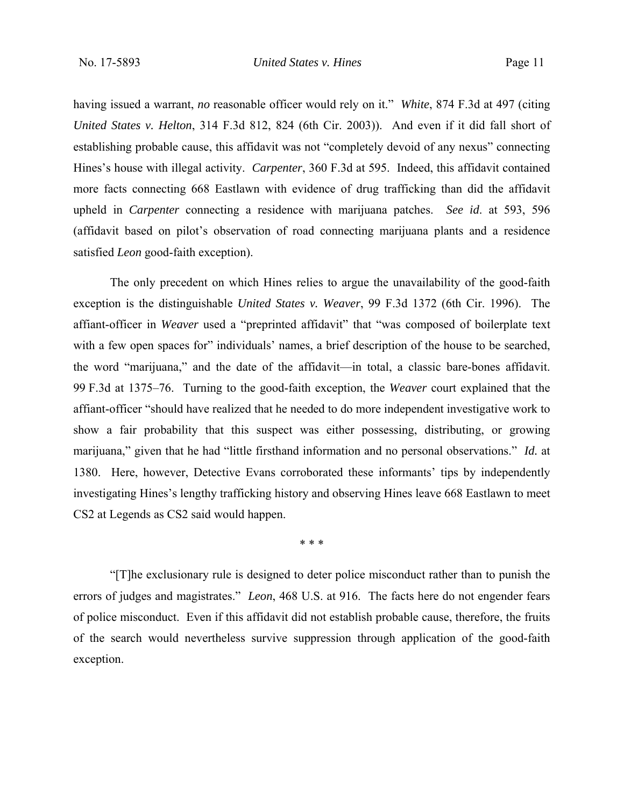having issued a warrant, *no* reasonable officer would rely on it." *White*, 874 F.3d at 497 (citing *United States v. Helton*, 314 F.3d 812, 824 (6th Cir. 2003)). And even if it did fall short of establishing probable cause, this affidavit was not "completely devoid of any nexus" connecting Hines's house with illegal activity. *Carpenter*, 360 F.3d at 595. Indeed, this affidavit contained more facts connecting 668 Eastlawn with evidence of drug trafficking than did the affidavit upheld in *Carpenter* connecting a residence with marijuana patches. *See id*. at 593, 596 (affidavit based on pilot's observation of road connecting marijuana plants and a residence satisfied *Leon* good-faith exception).

 The only precedent on which Hines relies to argue the unavailability of the good-faith exception is the distinguishable *United States v. Weaver*, 99 F.3d 1372 (6th Cir. 1996). The affiant-officer in *Weaver* used a "preprinted affidavit" that "was composed of boilerplate text with a few open spaces for" individuals' names, a brief description of the house to be searched, the word "marijuana," and the date of the affidavit—in total, a classic bare-bones affidavit. 99 F.3d at 1375–76. Turning to the good-faith exception, the *Weaver* court explained that the affiant-officer "should have realized that he needed to do more independent investigative work to show a fair probability that this suspect was either possessing, distributing, or growing marijuana," given that he had "little firsthand information and no personal observations." *Id.* at 1380. Here, however, Detective Evans corroborated these informants' tips by independently investigating Hines's lengthy trafficking history and observing Hines leave 668 Eastlawn to meet CS2 at Legends as CS2 said would happen.

\* \* \*

 "[T]he exclusionary rule is designed to deter police misconduct rather than to punish the errors of judges and magistrates." *Leon*, 468 U.S. at 916. The facts here do not engender fears of police misconduct. Even if this affidavit did not establish probable cause, therefore, the fruits of the search would nevertheless survive suppression through application of the good-faith exception.